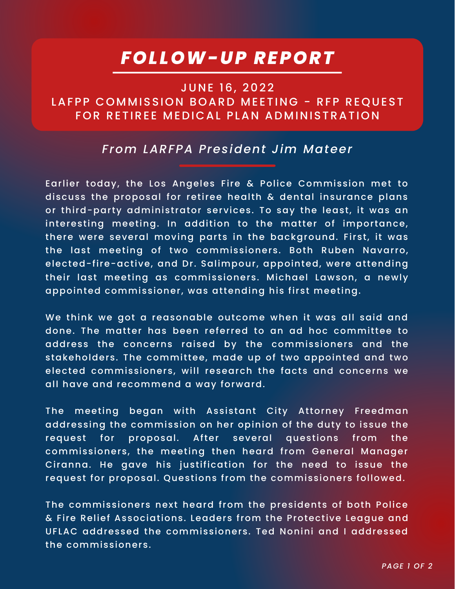## *FOLLOW-UP REPORT*

## **JUNE 16, 2022** LAFPP COMMISSION BOARD MEETING - RFP REQUEST FOR RETIREE MEDICAL PLAN ADMINISTRATION

## *From LARFPA President Jim Mateer*

Earlier today, the Los Angeles Fire & Police Commission met to discuss the proposal for retiree health & dental insurance plans or third-party administrator services. To say the least, it was an interesting meeting. In addition to the matter of importance, there were several moving parts in the background. First, it was the last meeting of two commissioners. Both Ruben Navarro, elected-fire-active, and Dr. Salimpour, appointed, were attending their last meeting as commissioners. Michael Lawson, a newly appointed commissioner, was attending his first meeting.

We think we got a reasonable outcome when it was all said and done. The matter has been referred to an ad hoc committee to address the concerns raised by the commissioners and the stakeholders. The committee, made up of two appointed and two elected commissioners, will research the facts and concerns we all have and recommend a way forward.

The meeting began with Assistant City Attorney Freedman addressing the commission on her opinion of the duty to issue the request for proposal. After several questions from the commissioners, the meeting then heard from General Manager Ciranna. He gave his justification for the need to issue the request for proposal. Questions from the commissioners followed.

The commissioners next heard from the presidents of both Police & Fire Relief Associations. Leaders from the Protective League and UFLAC addressed the commissioners. Ted Nonini and I addressed the commissioners.